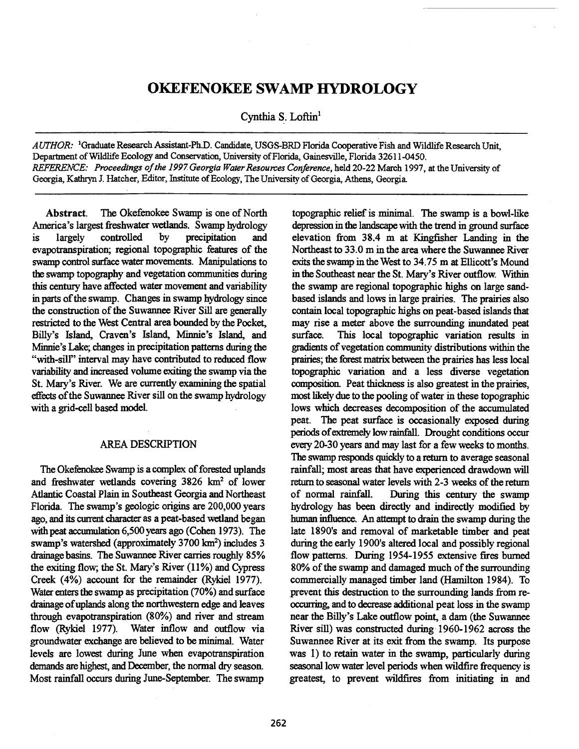# **OKEFENOKEE SWAMP HYDROLOGY**

**Cynthia S. Loftin'** 

*AUTHOR:* **'Graduate Research Assistant-Ph.D. Candidate, USGS-BRD Florida Cooperative Fish and Wildlife Research Unit, Department of Wildlife Ecology and Conservation, University of Florida, Gainesville, Florida 32611-0450.**  *REFERENCE: Proceedings of the 1997 Georgia Water Resources Conference,* **held 20-22 March 1997, at the University of Georgia, Kathryn J. Hatcher, Editor, Institute of Ecology, The University of Georgia, Athens, Georgia.** 

**Abstract. The Okefenokee Swamp is one of North America's largest freshwater wetlands. Swamp hydrology is largely controlled by precipitation and evapotranspiration; regional topographic features of the swamp control surface water movements. Manipulations to the swamp topography and vegetation communities during this century have affected water movement and variability in parts of the swamp. Changes in swamp hydrology since the construction of the Suwannee River Sill are generally restricted to the West Central area bounded by the Pocket, Billy's Island, Craven's Island, Minnie's Island, and Minnie's Lake; changes in precipitation patterns during the "with-sill" interval may have contributed to reduced flow variability and increased volume exiting the swamp via the St. Mary's River. We are currently examining the spatial effects of the Suwannee River sill on the swamp hydrology with a grid-cell based model.** 

## **AREA DESCRIPTION**

**The Okefenokee Swamp is a complex of forested uplands**  and freshwater wetlands covering 3826 km<sup>2</sup> of lower **Atlantic Coastal Plain in Southeast Georgia and Northeast Florida. The swamp's geologic origins are 200,000 years ago, and its current character as a peat-based wetland began with peat accumulation 6,500 years ago (Cohen 1973). The**  swamp's watershed (approximately 3700 km<sup>2</sup>) includes 3 **drainage basins. The Suwannee River carries roughly 85% the exiting flow; the St. Mary's River (11%) and Cypress Creek (4%) account for the remainder (Rykiel 1977). Water enters the swamp as precipitation (70%) and surface drainage of uplands along the northwestern edge and leaves through evapotranspiration (80%) and river and stream flow (Rykiel 1977). Water inflow and outflow via groundwater exchange are believed to be minimal Water levels are lowest during June when evapotranspiration demands are highest, and December, the normal dry season. Most rainfall occurs during June-September. The swamp** 

**topographic relief is minimal The swamp is a bowl-like depression in the landscape with the trend in ground surface elevation from 38.4 m at Kingfisher Landing in the Northeast to 33.0 m in the area where the Suwannee River exits the swamp in the West to 34.75 m at Ellicott's Mound in the Southeast near the St. Mary's River outflow. Within the swamp are regional topographic highs on large sandbased islands and lows in large prairies. The prairies also contain local topographic highs on peat-based islands that may rise a meter above the surrounding inundated peat surface. This local topographic variation results in gradients of vegetation community distributions within the prairies; the forest matrix between the prairies has less local topographic variation and a less diverse vegetation composition. Peat thickness is also greatest in the prairies, most likely due to the pooling of water in these topographic lows which decreases decomposition of the accumulated peat. The peat surface is occasionally exposed during periods of extremely low rainfall. Drought conditions occur every 20-30 years and may last for a few weeks to months. The swamp responds quickly to a return to average seasonal rainfall; most areas that have experienced drawdown will return to seasonal water levels with 2-3 weeks of the return of normal rainfall. During this century the swamp hydrology has been directly and indirectly modified by human influence. An attempt to drain the swamp during the late 1890's and removal of marketable timber and peat during the early 1900's altered local and possibly regional flow patterns. During 1954-1955 extensive fires burned 80% of the swamp and damaged much of the surrounding commercially managed timber land (Hamilton 1984). To prevent this destruction to the surrounding lands from reoccurring, and to decrease additional peat loss in the swamp near the Billy's Lake outflow point, a dam (the Suwannee River sill) was constructed during 1960-1962 across the Suwannee River at its exit from the swamp. Its purpose was 1) to retain water in the swamp, particularly during seasonal low water level periods when wildfire frequency is greatest, to prevent wildfires from initiating in and**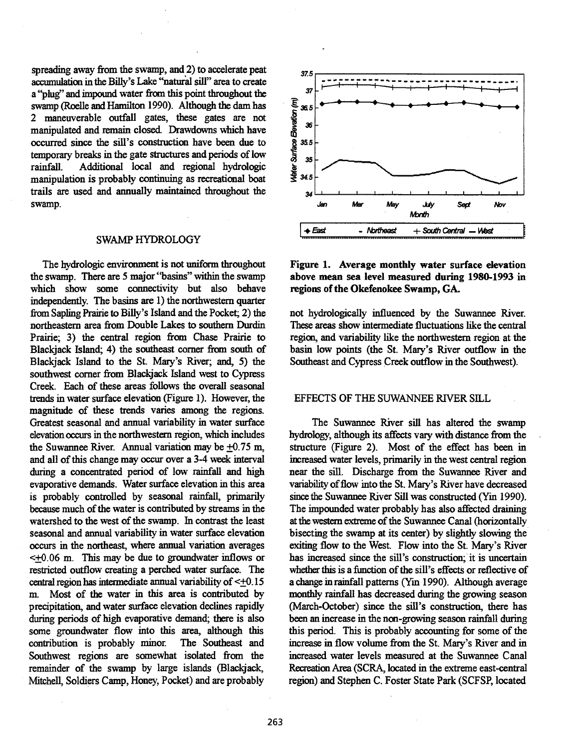spreading away from the swamp, and 2) to accelerate peat accumulation in the Billy's Lake "natural sill" area to create a "plug" and impound water from this point throughout the swamp (Roelle and Hamilton 1990). Although the dam has 2 maneuverable outfall gates, these gates are not manipulated and remain closed. Drawdowns which have occurred since the sill's construction have been due to temporary breaks in the gate structures and periods of low rainfall. Additional local and regional hydrologic manipulation is probably continuing as recreational boat trails are used and annually maintained throughout the swamp.

## SWAMP HYDROLOGY

The hydrologic environment is not uniform throughout the swamp. There are 5 major "basins" within the swamp which show some connectivity but also behave independently. The basins are 1) the northwestern quarter from Sapling Prairie to Billy's Island and the Pocket; 2) the northeastern area from Double Lakes to southern Durdin Prairie; 3) the central region from Chase Prairie to Blackjack Island; 4) the southeast corner from south of Blackjack Island to the St. Mary's River; and, 5) the southwest corner from Blackjack Island west to Cypress Creek. Each of these areas follows the overall seasonal trends in water surface elevation (Figure 1). However, the magnitude of these trends varies among the regions. Greatest seasonal and annual variability in water surface elevation occurs in the northwestern region, which includes the Suwannee River. Annual variation may be  $+0.75$  m, and all of this change may occur over a 3-4 week interval during a concentrated period of low rainfall and high evaporative demands. Water surface elevation in this area is probably controlled by seasonal rainfall, primarily because much of the water is contributed by streams in the watershed to the west of the swamp. In contrast the least seasonal and annual variability in water surface elevation occurs in the northeast, where annual variation averages <±0.06 m. This may be due to groundwater inflows or restricted outflow creating a perched water surface. The central region has intermediate annual variability of  $\leq +0.15$ m. Most of the water in this area is contributed by precipitation, and water surface elevation declines rapidly during periods of high evaporative demand; there is also some groundwater flow into this area, although this contribution is probably minor. The Southeast and Southwest regions are somewhat isolated from the remainder of the swamp by large islands (Blackjack, Mitchell, Soldiers Camp, Honey, Pocket) and are probably



Figure **1. Average monthly water surface elevation above mean sea level measured during 1980-1993 in regions of the Okefenokee Swamp, GA.** 

not hydrologically influenced by the Suwannee River. These areas show intermediate fluctuations like the central region, and variability like the northwestern region at the basin low points (the St. Mary's River outflow in the Southeast and Cypress Creek outflow in the Southwest).

# EFFECTS OF THE SUWANNEE RIVER SILL

The Suwannee River sill has altered the swamp hydrology, although its affects vary with distance from the structure (Figure 2). Most of the effect has been in increased water levels, primarily in the west central region near the sill. Discharge from the Suwannee River and variability of flow into the St. Mary's River have decreased since the Suwannee River Sill was constructed (Yin 1990). The impounded water probably has also affected draining at the western extreme of the Suwannee Canal (horizontally bisecting the swamp at its center) by slightly slowing the exiting flow to the West. Flow into the St. Mary's River has increased since the sill's construction; it is uncertain whether this is a function of the sill's effects or reflective of a change in rainfall patterns (Yin 1990). Although average monthly rainfall has decreased during the growing season (March-October) since the sill's construction, there has been an increase in the non-growing season rainfall during this period. This is probably accounting for some of the increase in flow volume from the St. Mary's River and in increased water levels measured at the Suwannee Canal Recreation Area (SCRA, located in the extreme east-central region) and Stephen C. Foster State Park (SCFSP, located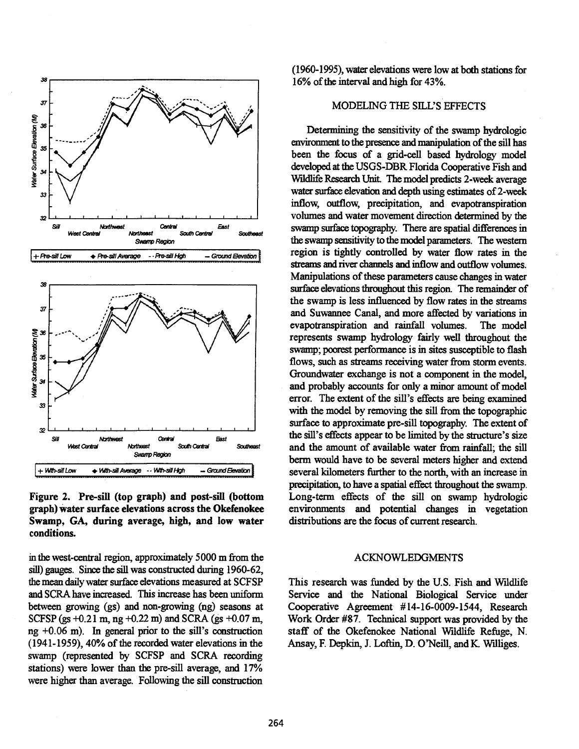

**Figure 2. Pre-sill (top graph) and post-sill (bottom graph) water surface elevations across the Okefenokee Swamp, GA, during average, high, and low water conditions.** 

**in the west-central region, approximately 5000 m from the sill) gauges. Since the sill was constructed during 1960-62, the mean daily water surface elevations measured at SCFSP and SCRA have increased. This increase has been uniform between growing (gs) and non-growing (ng) seasons at SCFSP (gs +0.21 m, ng +0.22 m) and SCRA (gs +0.07 m, ng +0.06 m). In general prior to the sill's construction (1941-1959), 40% of the recorded water elevations in the swamp (represented by SCFSP and SCRA recording stations) were lower than the pre-sill average, and 17% were higher than average. Following the sill construction** 

**(1960-1995), water elevations were low at both stations for 16% of the interval and high for 43%.** 

## **MODELING THE SILL'S EFFECTS**

**Determining the sensitivity of the swamp hydrologic environment to the presence and manipulation of the sill has been the focus of a grid-cell based hydrology model developed at the USGS-DBR Florida Cooperative Fish and Wildlife Research Unit. The model predicts 2-week average water surface elevation and depth using estimates of 2-week inflow, outflow, precipitation, and evapotranspiration volumes and water movement direction determined by the swamp surface topography. There are spatial differences in the swamp sensitivity to the model parameters. The western region is tightly controlled by water flow rates in the streams and river channels and inflow and outflow volumes. Manipulations of these parameters cause changes in water surface elevations throughout this region. The remainder of the swamp is less influenced by flow rates in the streams and Suwannee Canal, and more affected by variations in evapotranspiration and rainfall volumes. The model represents swamp hydrology fairly well throughout the swamp; poorest performance is in sites susceptible to flash flows, such as streams receiving water from storm events. Groundwater exchange is not a component in the model, and probably accounts for only a minor amount of model error. The extent of the sill's effects are being examined with the model by removing the sill from the topographic surface to approximate pre-sill topography. The extent of the sill's effects appear to be limited by the structure's size and the amount of available water from rainfall; the sill berm would have to be several meters higher and extend several kilometers further to the north, with an increase in precipitation, to have a spatial effect throughout the swamp. Long-term effects of the sill on swamp hydrologic environments and potential changes in vegetation distributions are the focus of current research.** 

## **ACKNOWLEDGMENTS**

**This research was funded by the U.S. Fish and Wildlife Service and the National Biological Service under Cooperative Agreement #14-16-0009-1544, Research Work Order** *#87.* **Technical support was provided by the staff of the Okefenokee National Wildlife Refuge, N. Ansay, F. Depkin, J. Loftin, D. O'Neill, and K. Williges.**